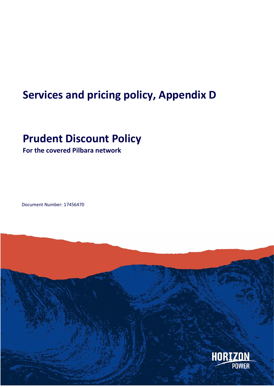# **Services and pricing policy, Appendix D**

## **Prudent Discount Policy**

**For the covered Pilbara network**

Document Number: 17456470

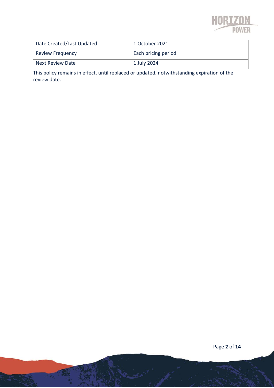

| Date Created/Last Updated | 1 October 2021      |
|---------------------------|---------------------|
| <b>Review Frequency</b>   | Each pricing period |
| Next Review Date          | 1 July 2024         |

This policy remains in effect, until replaced or updated, notwithstanding expiration of the review date.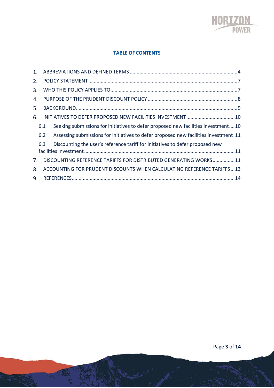

#### **TABLE OF CONTENTS**

| 1 <sup>1</sup>                 |     |                                                                                      |  |
|--------------------------------|-----|--------------------------------------------------------------------------------------|--|
| 2.                             |     |                                                                                      |  |
| 3.                             |     |                                                                                      |  |
| 4.                             |     |                                                                                      |  |
| 5.                             |     |                                                                                      |  |
| 6.                             |     |                                                                                      |  |
|                                | 6.1 | Seeking submissions for initiatives to defer proposed new facilities investment10    |  |
|                                | 6.2 | Assessing submissions for initiatives to defer proposed new facilities investment.11 |  |
|                                | 6.3 | Discounting the user's reference tariff for initiatives to defer proposed new        |  |
| $7_{\scriptscriptstyle{\sim}}$ |     | DISCOUNTING REFERENCE TARIFFS FOR DISTRIBUTED GENERATING WORKS11                     |  |
| 8.                             |     | ACCOUNTING FOR PRUDENT DISCOUNTS WHEN CALCULATING REFERENCE TARIFFS13                |  |
| 9.                             |     |                                                                                      |  |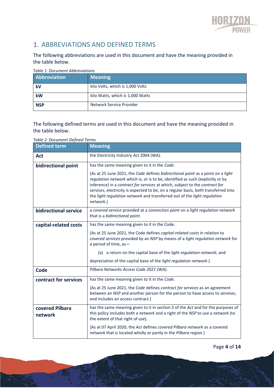

## 1. ABBREVIATIONS AND DEFINED TERMS

The following abbreviations are used in this document and have the meaning provided in the table below.

| Abbreviation | <b>Meaning</b>                   |
|--------------|----------------------------------|
| kV           | kilo Volts, which is 1,000 Volts |
| kW           | kilo Watts, which is 1,000 Watts |
| <b>NSP</b>   | Network Service Provider         |

#### *Table 1: Document Abbreviations*

The following defined terms are used in this document and have the meaning provided in the table below.

*Table 2: Document Defined Terms*

| <b>Defined term</b>        | <b>Meaning</b>                                                                                                                                                                                                                                                                                                                                                                                                                  |  |
|----------------------------|---------------------------------------------------------------------------------------------------------------------------------------------------------------------------------------------------------------------------------------------------------------------------------------------------------------------------------------------------------------------------------------------------------------------------------|--|
| Act                        | the Electricity Industry Act 2004 (WA).                                                                                                                                                                                                                                                                                                                                                                                         |  |
| bidirectional point        | has the same meaning given to it in the Code.                                                                                                                                                                                                                                                                                                                                                                                   |  |
|                            | {As at 25 June 2021, the Code defines bidirectional point as a point on a light<br>regulation network which is, or is to be, identified as such (explicitly or by<br>inference) in a contract for services at which, subject to the contract for<br>services, electricity is expected to be, on a regular basis, both transferred into<br>the light regulation network and transferred out of the light regulation<br>network.} |  |
| bidirectional service      | a covered service provided at a connection point on a light regulation network<br>that is a bidirectional point.                                                                                                                                                                                                                                                                                                                |  |
| capital-related costs      | has the same meaning given to it in the Code.                                                                                                                                                                                                                                                                                                                                                                                   |  |
|                            | {As at 25 June 2021, the Code defines capital-related costs in relation to<br>covered services provided by an NSP by means of a light regulation network for<br>a period of time, as-                                                                                                                                                                                                                                           |  |
|                            | (a) a return on the capital base of the <i>light regulation network</i> ; and                                                                                                                                                                                                                                                                                                                                                   |  |
|                            | depreciation of the capital base of the light regulation network.}                                                                                                                                                                                                                                                                                                                                                              |  |
| <b>Code</b>                | Pilbara Networks Access Code 2021 (WA).                                                                                                                                                                                                                                                                                                                                                                                         |  |
| contract for services      | has the same meaning given to it in the Code.                                                                                                                                                                                                                                                                                                                                                                                   |  |
|                            | {As at 25 June 2021, the Code defines contract for services as an agreement<br>between an NSP and another person for the person to have access to services,<br>and includes an access contract.}                                                                                                                                                                                                                                |  |
| covered Pilbara<br>network | has the same meaning given to it in section 3 of the Act and for the purposes of<br>this policy includes both a network and a right of the NSP to use a network (to<br>the extent of that right of use).                                                                                                                                                                                                                        |  |
|                            | {As at 07 April 2020, the Act defines covered Pilbara network as a covered<br>network that is located wholly or partly in the Pilbara region.}                                                                                                                                                                                                                                                                                  |  |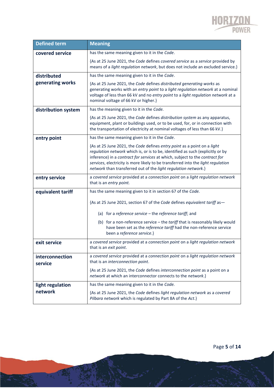

| <b>Defined term</b>        | <b>Meaning</b>                                                                                                                                                                                                                                                                                                                                                                                 |
|----------------------------|------------------------------------------------------------------------------------------------------------------------------------------------------------------------------------------------------------------------------------------------------------------------------------------------------------------------------------------------------------------------------------------------|
| covered service            | has the same meaning given to it in the Code.                                                                                                                                                                                                                                                                                                                                                  |
|                            | {As at 25 June 2021, the Code defines covered service as a service provided by<br>means of a light regulation network, but does not include an excluded service.}                                                                                                                                                                                                                              |
| distributed                | has the same meaning given to it in the Code.                                                                                                                                                                                                                                                                                                                                                  |
| generating works           | {As at 25 June 2021, the Code defines distributed generating works as<br>generating works with an entry point to a light regulation network at a nominal<br>voltage of less than 66 kV and no entry point to a light regulation network at a<br>nominal voltage of 66 kV or higher.}                                                                                                           |
| distribution system        | has the meaning given to it in the Code.                                                                                                                                                                                                                                                                                                                                                       |
|                            | {As at 25 June 2021, the Code defines distribution system as any apparatus,<br>equipment, plant or buildings used, or to be used, for, or in connection with<br>the transportation of electricity at nominal voltages of less than 66 kV.}                                                                                                                                                     |
| entry point                | has the same meaning given to it in the Code.                                                                                                                                                                                                                                                                                                                                                  |
|                            | {As at 25 June 2021, the Code defines entry point as a point on a light<br>regulation network which is, or is to be, identified as such (explicitly or by<br>inference) in a contract for services at which, subject to the contract for<br>services, electricity is more likely to be transferred into the light regulation<br>network than transferred out of the light regulation network.} |
| entry service              | a covered service provided at a connection point on a light regulation network<br>that is an entry point.                                                                                                                                                                                                                                                                                      |
| equivalent tariff          | has the same meaning given to it in section 67 of the Code.                                                                                                                                                                                                                                                                                                                                    |
|                            | {As at 25 June 2021, section 67 of the Code defines equivalent tariff as-                                                                                                                                                                                                                                                                                                                      |
|                            | (a) for a reference service - the reference tariff; and                                                                                                                                                                                                                                                                                                                                        |
|                            | (b) for a non-reference service - the tariff that is reasonably likely would<br>have been set as the reference tariff had the non-reference service<br>been a reference service.}                                                                                                                                                                                                              |
| exit service               | a covered service provided at a connection point on a light regulation network<br>that is an exit point.                                                                                                                                                                                                                                                                                       |
| interconnection<br>service | a covered service provided at a connection point on a light regulation network<br>that is an interconnection point.                                                                                                                                                                                                                                                                            |
|                            | {As at 25 June 2021, the Code defines interconnection point as a point on a<br>network at which an interconnector connects to the network.}                                                                                                                                                                                                                                                    |
| light regulation           | has the same meaning given to it in the Code.                                                                                                                                                                                                                                                                                                                                                  |
| network                    | {As at 25 June 2021, the Code defines light regulation network as a covered<br>Pilbara network which is regulated by Part 8A of the Act.}                                                                                                                                                                                                                                                      |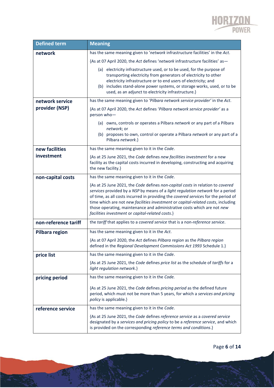

| <b>Defined term</b>   | <b>Meaning</b>                                                                                                                                                                                                                                                                                                                                                                                                                                                            |  |
|-----------------------|---------------------------------------------------------------------------------------------------------------------------------------------------------------------------------------------------------------------------------------------------------------------------------------------------------------------------------------------------------------------------------------------------------------------------------------------------------------------------|--|
| network               | has the same meaning given to 'network infrastructure facilities' in the Act.                                                                                                                                                                                                                                                                                                                                                                                             |  |
|                       | {As at 07 April 2020, the Act defines 'network infrastructure facilities' as-                                                                                                                                                                                                                                                                                                                                                                                             |  |
|                       | (a) electricity infrastructure used, or to be used, for the purpose of<br>transporting electricity from generators of electricity to other<br>electricity infrastructure or to end users of electricity; and<br>(b) includes stand-alone power systems, or storage works, used, or to be<br>used, as an adjunct to electricity infrastructure.}                                                                                                                           |  |
| network service       | has the same meaning given to 'Pilbara network service provider' in the Act.                                                                                                                                                                                                                                                                                                                                                                                              |  |
| provider (NSP)        | {As at 07 April 2020, the Act defines 'Pilbara network service provider' as a<br>person who-                                                                                                                                                                                                                                                                                                                                                                              |  |
|                       | (a) owns, controls or operates a Pilbara network or any part of a Pilbara                                                                                                                                                                                                                                                                                                                                                                                                 |  |
|                       | network; or<br>(b) proposes to own, control or operate a Pilbara network or any part of a<br>Pilbara network.}                                                                                                                                                                                                                                                                                                                                                            |  |
| new facilities        | has the same meaning given to it in the Code.                                                                                                                                                                                                                                                                                                                                                                                                                             |  |
| investment            | {As at 25 June 2021, the Code defines new facilities investment for a new<br>facility as the capital costs incurred in developing, constructing and acquiring<br>the new facility.}                                                                                                                                                                                                                                                                                       |  |
| non-capital costs     | has the same meaning given to it in the Code.                                                                                                                                                                                                                                                                                                                                                                                                                             |  |
|                       | {As at 25 June 2021, the Code defines non-capital costs in relation to covered<br>services provided by a NSP by means of a light regulation network for a period<br>of time, as all costs incurred in providing the covered services for the period of<br>time which are not new facilities investment or capital-related costs, including<br>those operating, maintenance and administrative costs which are not new<br>facilities investment or capital-related costs.} |  |
| non-reference tariff  | the tariff that applies to a covered service that is a non-reference service.                                                                                                                                                                                                                                                                                                                                                                                             |  |
| <b>Pilbara region</b> | has the same meaning given to it in the Act.                                                                                                                                                                                                                                                                                                                                                                                                                              |  |
|                       | {As at 07 April 2020, the Act defines Pilbara region as the Pilbara region<br>defined in the Regional Development Commissions Act 1993 Schedule 1.}                                                                                                                                                                                                                                                                                                                       |  |
| price list            | has the same meaning given to it in the Code.                                                                                                                                                                                                                                                                                                                                                                                                                             |  |
|                       | {As at 25 June 2021, the Code defines price list as the schedule of tariffs for a<br>light regulation network.}                                                                                                                                                                                                                                                                                                                                                           |  |
| pricing period        | has the same meaning given to it in the Code.                                                                                                                                                                                                                                                                                                                                                                                                                             |  |
|                       | {As at 25 June 2021, the Code defines pricing period as the defined future<br>period, which must not be more than 5 years, for which a services and pricing<br>policy is applicable.}                                                                                                                                                                                                                                                                                     |  |
| reference service     | has the same meaning given to it in the Code.                                                                                                                                                                                                                                                                                                                                                                                                                             |  |
|                       | {As at 25 June 2021, the Code defines reference service as a covered service<br>designated by a services and pricing policy to be a reference service, and which<br>is provided on the corresponding reference terms and conditions.}                                                                                                                                                                                                                                     |  |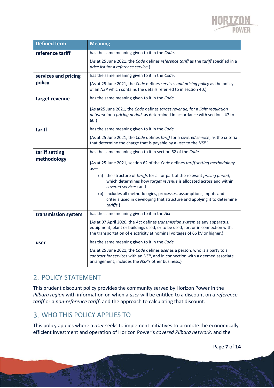

| <b>Defined term</b>  | <b>Meaning</b>                                                                                                                                                                                                                              |  |
|----------------------|---------------------------------------------------------------------------------------------------------------------------------------------------------------------------------------------------------------------------------------------|--|
| reference tariff     | has the same meaning given to it in the Code.                                                                                                                                                                                               |  |
|                      | {As at 25 June 2021, the Code defines reference tariff as the tariff specified in a<br>price list for a reference service.}                                                                                                                 |  |
| services and pricing | has the same meaning given to it in the Code.                                                                                                                                                                                               |  |
| policy               | {As at 25 June 2021, the Code defines services and pricing policy as the policy<br>of an NSP which contains the details referred to in section 40.}                                                                                         |  |
| target revenue       | has the same meaning given to it in the Code.                                                                                                                                                                                               |  |
|                      | {As at 25 June 2021, the Code defines target revenue, for a light regulation<br>network for a pricing period, as determined in accordance with sections 47 to<br>$60.\}$                                                                    |  |
| tariff               | has the same meaning given to it in the Code.                                                                                                                                                                                               |  |
|                      | {As at 25 June 2021, the Code defines tariff for a covered service, as the criteria<br>that determine the charge that is payable by a user to the NSP.}                                                                                     |  |
| tariff setting       | has the same meaning given to it in section 62 of the Code.                                                                                                                                                                                 |  |
| methodology          | {As at 25 June 2021, section 62 of the Code defines tariff setting methodology<br>$as-$                                                                                                                                                     |  |
|                      | (a) the structure of <i>tariffs</i> for all or part of the relevant <i>pricing period</i> ,<br>which determines how target revenue is allocated across and within<br>covered services; and                                                  |  |
|                      | (b) includes all methodologies, processes, assumptions, inputs and<br>criteria used in developing that structure and applying it to determine<br>tariffs.}                                                                                  |  |
| transmission system  | has the same meaning given to it in the Act.                                                                                                                                                                                                |  |
|                      | {As at 07 April 2020, the Act defines transmission system as any apparatus,<br>equipment, plant or buildings used, or to be used, for, or in connection with,<br>the transportation of electricity at nominal voltages of 66 kV or higher.} |  |
| user                 | has the same meaning given to it in the Code.                                                                                                                                                                                               |  |
|                      | {As at 25 June 2021, the Code defines user as a person, who is a party to a<br>contract for services with an NSP, and in connection with a deemed associate<br>arrangement, includes the NSP's other business.}                             |  |

## 2. POLICY STATEMENT

This prudent discount policy provides the community served by Horizon Power in the *Pilbara region* with information on when a *user* will be entitled to a discount on a *reference tariff* or a *non-reference tariff*, and the approach to calculating that discount.

## WHO THIS POLICY APPLIES TO

This policy applies where a *user* seeks to implement initiatives to promote the economically efficient investment and operation of Horizon Power's *covered Pilbara network*, and the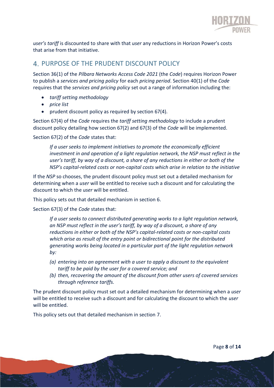

*user's tariff* is discounted to share with that *user* any reductions in Horizon Power's costs that arise from that initiative.

#### PURPOSE OF THE PRUDENT DISCOUNT POLICY

Section 36(1) of the *Pilbara Networks Access Code 2021* (the *Code*) requires Horizon Power to publish a *services and pricing policy* for each *pricing period*. Section 40(1) of the *Code* requires that the *services and pricing policy* set out a range of information including the:

- *tariff setting methodology*
- *price list*
- prudent discount policy as required by section 67(4)*.*

Section 67(4) of the *Code* requires the *tariff setting methodology* to include a prudent discount policy detailing how section 67(2) and 67(3) of the *Code* will be implemented.

Section 67(2) of the *Code* states that:

*If a user seeks to implement initiatives to promote the economically efficient investment in and operation of a light regulation network, the NSP must reflect in the user's tariff, by way of a discount, a share of any reductions in either or both of the NSP's capital-related costs or non-capital costs which arise in relation to the initiative*

If the *NSP* so chooses, the prudent discount policy must set out a detailed mechanism for determining when a *user* will be entitled to receive such a discount and for calculating the discount to which the *user* will be entitled.

This policy sets out that detailed mechanism in section 6.

Section 67(3) of the *Code* states that:

*If a user seeks to connect distributed generating works to a light regulation network, an NSP must reflect in the user's tariff, by way of a discount, a share of any reductions in either or both of the NSP's capital-related costs or non-capital costs which arise as result of the entry point or bidirectional point for the distributed generating works being located in a particular part of the light regulation network by:*

- *(a) entering into an agreement with a user to apply a discount to the equivalent tariff to be paid by the user for a covered service; and*
- *(b) then, recovering the amount of the discount from other users of covered services through reference tariffs.*

The prudent discount policy must set out a detailed mechanism for determining when a *user* will be entitled to receive such a discount and for calculating the discount to which the *user* will be entitled.

This policy sets out that detailed mechanism in section 7.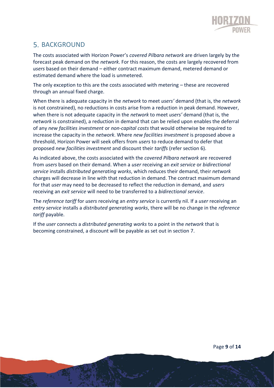

## 5. BACKGROUND

The costs associated with Horizon Power's *covered Pilbara network* are driven largely by the forecast peak demand on the *network*. For this reason, the costs are largely recovered from *users* based on their demand – either contract maximum demand, metered demand or estimated demand where the load is unmetered.

The only exception to this are the costs associated with metering – these are recovered through an annual fixed charge.

When there is adequate capacity in the *network* to meet *users'* demand (that is, the *network* is not constrained), no reductions in costs arise from a reduction in peak demand. However, when there is not adequate capacity in the *network* to meet *users'* demand (that is, the *network* is constrained), a reduction in demand that can be relied upon enables the deferral of any *new facilities investment* or *non-capital costs* that would otherwise be required to increase the capacity in the *network*. Where *new facilities investment* is proposed above a threshold, Horizon Power will seek offers from *users* to reduce demand to defer that proposed *new facilities investment* and discount their *tariffs* (refer section 6).

As indicated above, the costs associated with the *covered Pilbara network* are recovered from *users* based on their demand. When a *user* receiving an *exit service* or *bidirectional service* installs *distributed generating works*, which reduces their demand, their *network*  charges will decrease in line with that reduction in demand. The contract maximum demand for that *user* may need to be decreased to reflect the reduction in demand, and *users* receiving an *exit service* will need to be transferred to a *bidirectional service*.

The *reference tariff* for *users* receiving an *entry service* is currently nil. If a *user* receiving an *entry service* installs a *distributed generating works*, there will be no change in the *reference tariff* payable.

If the *user* connects a *distributed generating works* to a point in the *network* that is becoming constrained, a discount will be payable as set out in section 7.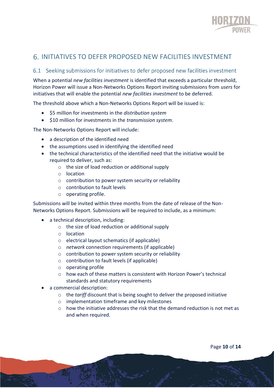

#### INITIATIVES TO DEFER PROPOSED NEW FACILITIES INVESTMENT

#### 6.1 Seeking submissions for initiatives to defer proposed new facilities investment

When a potential *new facilities investment* is identified that exceeds a particular threshold, Horizon Power will issue a Non-Networks Options Report inviting submissions from *users* for initiatives that will enable the potential *new facilities investment* to be deferred.

The threshold above which a Non-Networks Options Report will be issued is:

- \$5 million for investments in the *distribution system*
- \$10 million for investments in the *transmission system*.

The Non-Networks Options Report will include:

- a description of the identified need
- the assumptions used in identifying the identified need
- the technical characteristics of the identified need that the initiative would be required to deliver, such as:
	- o the size of load reduction or additional supply
	- o location
	- o contribution to power system security or reliability
	- o contribution to fault levels
	- o operating profile.

Submissions will be invited within three months from the date of release of the Non-Networks Options Report. Submissions will be required to include, as a minimum:

- a technical description, including:
	- o the size of load reduction or additional supply
	- o location
	- o electrical layout schematics (if applicable)
	- o *network* connection requirements (if applicable)
	- o contribution to power system security or reliability
	- o contribution to fault levels (if applicable)
	- o operating profile
	- o how each of these matters is consistent with Horizon Power's technical standards and statutory requirements
- a commercial description:
	- o the *tariff* discount that is being sought to deliver the proposed initiative
	- o implementation timeframe and key milestones
	- $\circ$  how the initiative addresses the risk that the demand reduction is not met as and when required.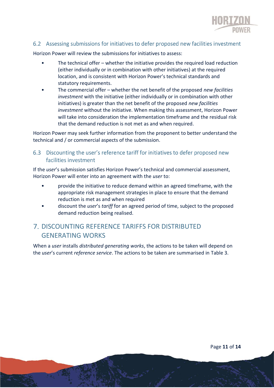

#### 6.2 Assessing submissions for initiatives to defer proposed new facilities investment

Horizon Power will review the submissions for initiatives to assess:

- The technical offer whether the initiative provides the required load reduction (either individually or in combination with other initiatives) at the required location, and is consistent with Horizon Power's technical standards and statutory requirements.
- The commercial offer whether the net benefit of the proposed *new facilities investment* with the initiative (either individually or in combination with other initiatives) is greater than the net benefit of the proposed *new facilities investment* without the initiative. When making this assessment, Horizon Power will take into consideration the implementation timeframe and the residual risk that the demand reduction is not met as and when required.

Horizon Power may seek further information from the proponent to better understand the technical and / or commercial aspects of the submission.

6.3 Discounting the user's reference tariff for initiatives to defer proposed new facilities investment

If the *user*'s submission satisfies Horizon Power's technical and commercial assessment, Horizon Power will enter into an agreement with the *user* to:

- provide the initiative to reduce demand within an agreed timeframe, with the appropriate risk management strategies in place to ensure that the demand reduction is met as and when required
- discount the *user*'s *tariff* for an agreed period of time, subject to the proposed demand reduction being realised.

#### DISCOUNTING REFERENCE TARIFFS FOR DISTRIBUTED GENERATING WORKS

When a *user* installs *distributed generating works*, the actions to be taken will depend on the *user*'s current *reference service*. The actions to be taken are summarised in Table 3.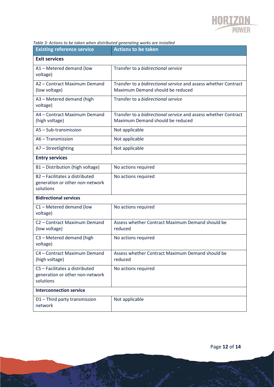

#### *Table 3: Actions to be taken when distributed generating works are installed*

| <b>Existing reference service</b>                                              | <b>Actions to be taken</b>                                                                          |  |
|--------------------------------------------------------------------------------|-----------------------------------------------------------------------------------------------------|--|
| <b>Exit services</b>                                                           |                                                                                                     |  |
| A1 - Metered demand (low<br>voltage)                                           | Transfer to a bidirectional service                                                                 |  |
| A2 - Contract Maximum Demand<br>(low voltage)                                  | Transfer to a bidirectional service and assess whether Contract<br>Maximum Demand should be reduced |  |
| A3 - Metered demand (high<br>voltage)                                          | Transfer to a bidirectional service                                                                 |  |
| A4 - Contract Maximum Demand<br>(high voltage)                                 | Transfer to a bidirectional service and assess whether Contract<br>Maximum Demand should be reduced |  |
| A5 - Sub-transmission                                                          | Not applicable                                                                                      |  |
| A6 - Transmission                                                              | Not applicable                                                                                      |  |
| A7 - Streetlighting                                                            | Not applicable                                                                                      |  |
| <b>Entry services</b>                                                          |                                                                                                     |  |
| B1 - Distribution (high voltage)                                               | No actions required                                                                                 |  |
| B2 - Facilitates a distributed<br>generation or other non-network<br>solutions | No actions required                                                                                 |  |
| <b>Bidirectional services</b>                                                  |                                                                                                     |  |
| C1 - Metered demand (low<br>voltage)                                           | No actions required                                                                                 |  |
| C2 - Contract Maximum Demand<br>(low voltage)                                  | Assess whether Contract Maximum Demand should be<br>reduced                                         |  |
| C3 - Metered demand (high<br>voltage)                                          | No actions required                                                                                 |  |
| C4 - Contract Maximum Demand<br>(high voltage)                                 | Assess whether Contract Maximum Demand should be<br>reduced                                         |  |
| C5 - Facilitates a distributed<br>generation or other non-network<br>solutions | No actions required                                                                                 |  |
| <b>Interconnection service</b>                                                 |                                                                                                     |  |
| D1-Third party transmission<br>network                                         | Not applicable                                                                                      |  |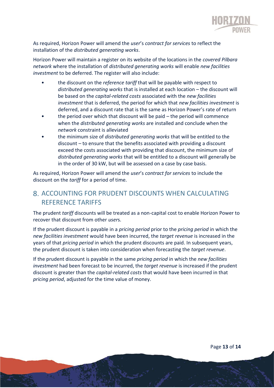

As required, Horizon Power will amend the *user*'s *contract for services* to reflect the installation of the *distributed generating works*.

Horizon Power will maintain a register on its website of the locations in the *covered Pilbara network* where the installation of *distributed generating works* will enable *new facilities investment* to be deferred. The register will also include:

- the discount on the *reference tariff* that will be payable with respect to *distributed generating works* that is installed at each location – the discount will be based on the *capital-related costs* associated with the *new facilities investment* that is deferred, the period for which that *new facilities investment* is deferred, and a discount rate that is the same as Horizon Power's rate of return
- the period over which that discount will be paid the period will commence when the *distributed generating works* are installed and conclude when the *network* constraint is alleviated
- the minimum size of *distributed generating works* that will be entitled to the discount – to ensure that the benefits associated with providing a discount exceed the costs associated with providing that discount, the minimum size of *distributed generating works* that will be entitled to a discount will generally be in the order of 30 kW, but will be assessed on a case by case basis.

As required, Horizon Power will amend the *user*'s *contract for services* to include the discount on the *tariff* for a period of time.

#### 8. ACCOUNTING FOR PRUDENT DISCOUNTS WHEN CALCULATING REFERENCE TARIFFS

The prudent *tariff* discounts will be treated as a non-capital cost to enable Horizon Power to recover that discount from other *user*s.

If the prudent discount is payable in a *pricing period* prior to the *pricing period* in which the *new facilities investment* would have been incurred, the *target revenue* is increased in the years of that *pricing period* in which the prudent discounts are paid. In subsequent years, the prudent discount is taken into consideration when forecasting the *target revenue*.

If the prudent discount is payable in the same *pricing period* in which the *new facilities investment* had been forecast to be incurred, the *target revenue* is increased if the prudent discount is greater than the *capital-related costs* that would have been incurred in that *pricing period*, adjusted for the time value of money.